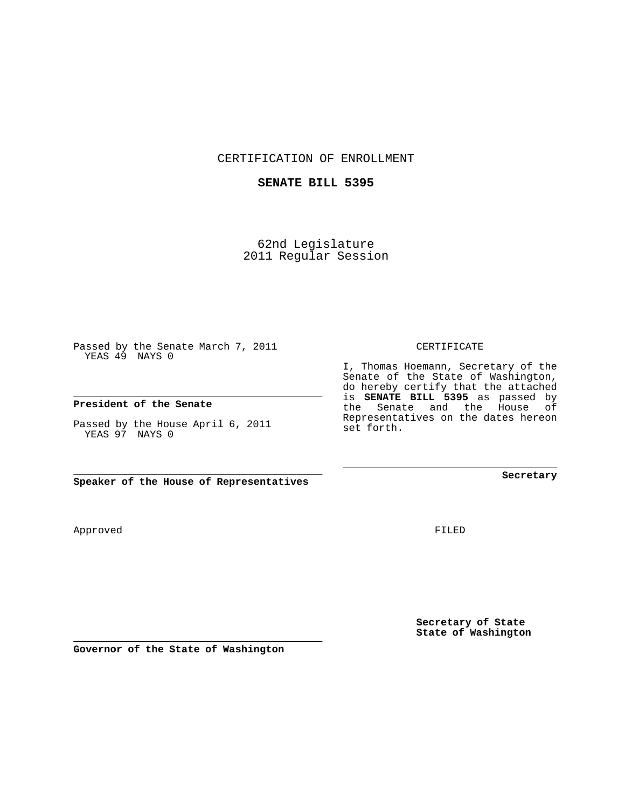CERTIFICATION OF ENROLLMENT

## **SENATE BILL 5395**

62nd Legislature 2011 Regular Session

Passed by the Senate March 7, 2011 YEAS 49 NAYS 0

**President of the Senate**

Passed by the House April 6, 2011 YEAS 97 NAYS 0

Approved

FILED

**Secretary of State State of Washington**

**Secretary**

CERTIFICATE

I, Thomas Hoemann, Secretary of the Senate of the State of Washington, do hereby certify that the attached is **SENATE BILL 5395** as passed by the Senate and the House of Representatives on the dates hereon set forth.

**Speaker of the House of Representatives**

**Governor of the State of Washington**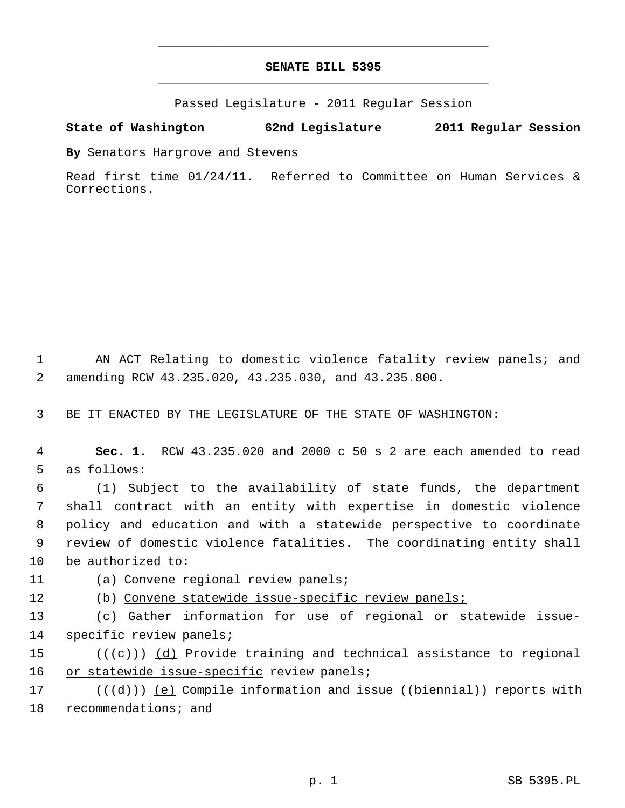## **SENATE BILL 5395** \_\_\_\_\_\_\_\_\_\_\_\_\_\_\_\_\_\_\_\_\_\_\_\_\_\_\_\_\_\_\_\_\_\_\_\_\_\_\_\_\_\_\_\_\_

\_\_\_\_\_\_\_\_\_\_\_\_\_\_\_\_\_\_\_\_\_\_\_\_\_\_\_\_\_\_\_\_\_\_\_\_\_\_\_\_\_\_\_\_\_

Passed Legislature - 2011 Regular Session

## **State of Washington 62nd Legislature 2011 Regular Session**

**By** Senators Hargrove and Stevens

Read first time 01/24/11. Referred to Committee on Human Services & Corrections.

 1 AN ACT Relating to domestic violence fatality review panels; and 2 amending RCW 43.235.020, 43.235.030, and 43.235.800.

3 BE IT ENACTED BY THE LEGISLATURE OF THE STATE OF WASHINGTON:

 4 **Sec. 1.** RCW 43.235.020 and 2000 c 50 s 2 are each amended to read 5 as follows:

 6 (1) Subject to the availability of state funds, the department 7 shall contract with an entity with expertise in domestic violence 8 policy and education and with a statewide perspective to coordinate 9 review of domestic violence fatalities. The coordinating entity shall 10 be authorized to:

11 (a) Convene regional review panels;

12 (b) Convene statewide issue-specific review panels;

13 (c) Gather information for use of regional or statewide issue-14 specific review panels;

15 ( $(\langle e \rangle)$ ) (d) Provide training and technical assistance to regional 16 or statewide issue-specific review panels;

17 ( $(\{\d{d}\})$ ) <u>(e)</u> Compile information and issue ((biennial)) reports with 18 recommendations; and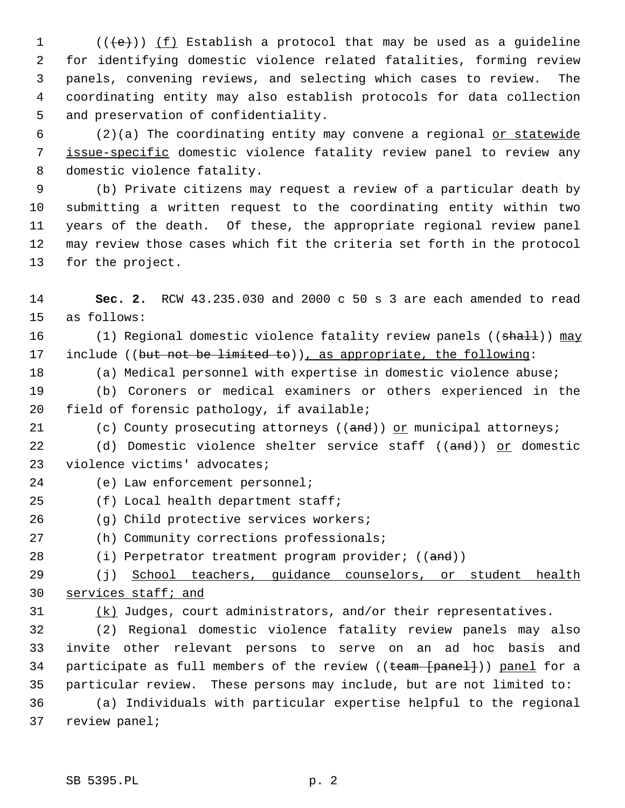1  $((\{e\}))(f)$  Establish a protocol that may be used as a guideline 2 for identifying domestic violence related fatalities, forming review 3 panels, convening reviews, and selecting which cases to review. The 4 coordinating entity may also establish protocols for data collection 5 and preservation of confidentiality.

 6 (2)(a) The coordinating entity may convene a regional or statewide 7 issue-specific domestic violence fatality review panel to review any 8 domestic violence fatality.

 9 (b) Private citizens may request a review of a particular death by 10 submitting a written request to the coordinating entity within two 11 years of the death. Of these, the appropriate regional review panel 12 may review those cases which fit the criteria set forth in the protocol 13 for the project.

14 **Sec. 2.** RCW 43.235.030 and 2000 c 50 s 3 are each amended to read 15 as follows:

16 (1) Regional domestic violence fatality review panels ((shall)) may 17 include ((but not be limited to)), as appropriate, the following:

18 (a) Medical personnel with expertise in domestic violence abuse;

19 (b) Coroners or medical examiners or others experienced in the 20 field of forensic pathology, if available;

21 (c) County prosecuting attorneys ((and)) or municipal attorneys;

22 (d) Domestic violence shelter service staff ((and)) or domestic 23 violence victims' advocates;

24 (e) Law enforcement personnel;

25 (f) Local health department staff;

- 26 (g) Child protective services workers;
- 27 (h) Community corrections professionals;
- 28 (i) Perpetrator treatment program provider; ((and))

29 (j) School teachers, guidance counselors, or student health 30 services staff; and

 $31$  (k) Judges, court administrators, and/or their representatives.

32 (2) Regional domestic violence fatality review panels may also 33 invite other relevant persons to serve on an ad hoc basis and 34 participate as full members of the review ((team [panel])) panel for a 35 particular review. These persons may include, but are not limited to: 36 (a) Individuals with particular expertise helpful to the regional 37 review panel;